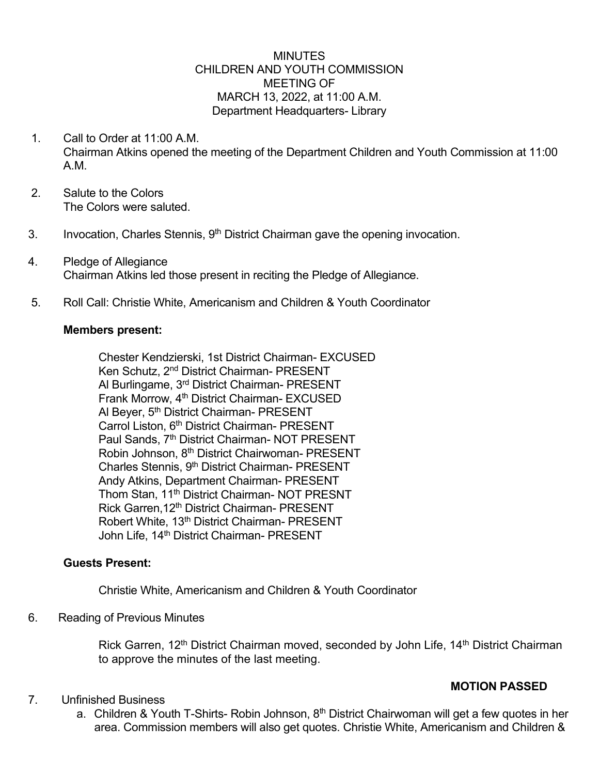### **MINUTES** CHILDREN AND YOUTH COMMISSION MEETING OF MARCH 13, 2022, at 11:00 A.M. Department Headquarters- Library

- 1. Call to Order at 11:00 A.M. Chairman Atkins opened the meeting of the Department Children and Youth Commission at 11:00 A.M.
- 2. Salute to the Colors The Colors were saluted.
- 3. Invocation, Charles Stennis, 9<sup>th</sup> District Chairman gave the opening invocation.
- 4. Pledge of Allegiance Chairman Atkins led those present in reciting the Pledge of Allegiance.
- 5. Roll Call: Christie White, Americanism and Children & Youth Coordinator

#### **Members present:**

Chester Kendzierski, 1st District Chairman- EXCUSED Ken Schutz, 2nd District Chairman- PRESENT Al Burlingame, 3rd District Chairman- PRESENT Frank Morrow, 4<sup>th</sup> District Chairman- EXCUSED Al Beyer, 5<sup>th</sup> District Chairman- PRESENT Carrol Liston, 6<sup>th</sup> District Chairman- PRESENT Paul Sands, 7<sup>th</sup> District Chairman- NOT PRESENT Robin Johnson, 8<sup>th</sup> District Chairwoman- PRESENT Charles Stennis, 9<sup>th</sup> District Chairman- PRESENT Andy Atkins, Department Chairman- PRESENT Thom Stan, 11<sup>th</sup> District Chairman- NOT PRESNT Rick Garren, 12<sup>th</sup> District Chairman- PRESENT Robert White, 13<sup>th</sup> District Chairman- PRESENT John Life, 14<sup>th</sup> District Chairman- PRESENT

### **Guests Present:**

Christie White, Americanism and Children & Youth Coordinator

### 6. Reading of Previous Minutes

Rick Garren, 12<sup>th</sup> District Chairman moved, seconded by John Life, 14<sup>th</sup> District Chairman to approve the minutes of the last meeting.

### **MOTION PASSED**

- 7. Unfinished Business
	- a. Children & Youth T-Shirts- Robin Johnson,  $8<sup>th</sup>$  District Chairwoman will get a few quotes in her area. Commission members will also get quotes. Christie White, Americanism and Children &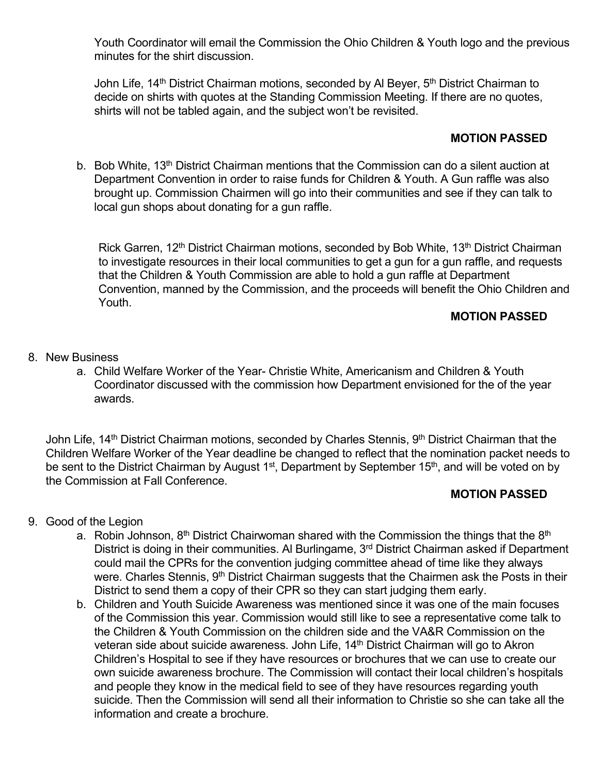Youth Coordinator will email the Commission the Ohio Children & Youth logo and the previous minutes for the shirt discussion.

John Life, 14<sup>th</sup> District Chairman motions, seconded by Al Beyer, 5<sup>th</sup> District Chairman to decide on shirts with quotes at the Standing Commission Meeting. If there are no quotes, shirts will not be tabled again, and the subject won't be revisited.

# **MOTION PASSED**

b. Bob White, 13<sup>th</sup> District Chairman mentions that the Commission can do a silent auction at Department Convention in order to raise funds for Children & Youth. A Gun raffle was also brought up. Commission Chairmen will go into their communities and see if they can talk to local gun shops about donating for a gun raffle.

Rick Garren, 12<sup>th</sup> District Chairman motions, seconded by Bob White, 13<sup>th</sup> District Chairman to investigate resources in their local communities to get a gun for a gun raffle, and requests that the Children & Youth Commission are able to hold a gun raffle at Department Convention, manned by the Commission, and the proceeds will benefit the Ohio Children and Youth.

## **MOTION PASSED**

- 8. New Business
	- a. Child Welfare Worker of the Year- Christie White, Americanism and Children & Youth Coordinator discussed with the commission how Department envisioned for the of the year awards.

John Life, 14<sup>th</sup> District Chairman motions, seconded by Charles Stennis, 9<sup>th</sup> District Chairman that the Children Welfare Worker of the Year deadline be changed to reflect that the nomination packet needs to be sent to the District Chairman by August 1<sup>st</sup>, Department by September 15<sup>th</sup>, and will be voted on by the Commission at Fall Conference.

## **MOTION PASSED**

- 9. Good of the Legion
	- a. Robin Johnson,  $8<sup>th</sup>$  District Chairwoman shared with the Commission the things that the  $8<sup>th</sup>$ District is doing in their communities. Al Burlingame, 3<sup>rd</sup> District Chairman asked if Department could mail the CPRs for the convention judging committee ahead of time like they always were. Charles Stennis, 9<sup>th</sup> District Chairman suggests that the Chairmen ask the Posts in their District to send them a copy of their CPR so they can start judging them early.
	- b. Children and Youth Suicide Awareness was mentioned since it was one of the main focuses of the Commission this year. Commission would still like to see a representative come talk to the Children & Youth Commission on the children side and the VA&R Commission on the veteran side about suicide awareness. John Life, 14<sup>th</sup> District Chairman will go to Akron Children's Hospital to see if they have resources or brochures that we can use to create our own suicide awareness brochure. The Commission will contact their local children's hospitals and people they know in the medical field to see of they have resources regarding youth suicide. Then the Commission will send all their information to Christie so she can take all the information and create a brochure.